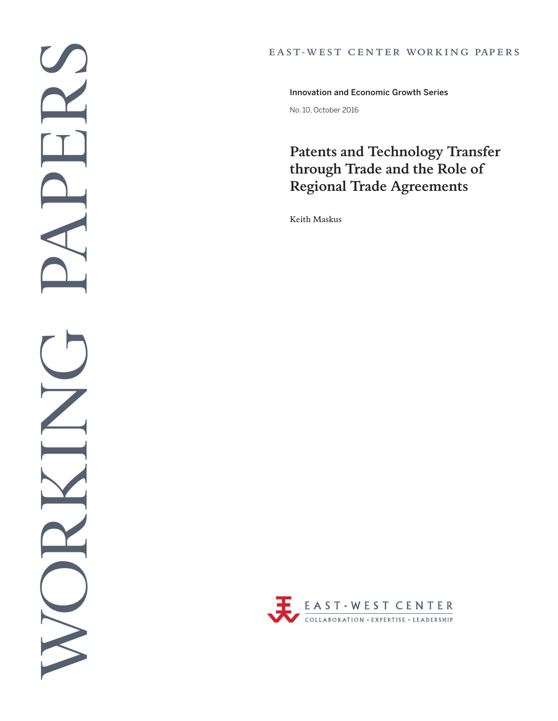Innovation and Economic Growth Series No. 10, October 2016

# **Patents and Technology Transfer through Trade and the Role of Regional Trade Agreements**

Keith Maskus

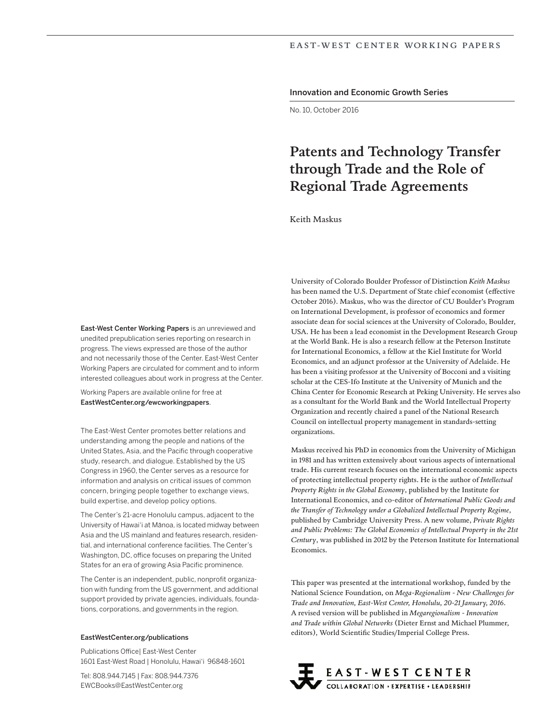Innovation and Economic Growth Series

No. 10, October 2016

## **Patents and Technology Transfer through Trade and the Role of Regional Trade Agreements**

Keith Maskus

East-West Center Working Papers is an unreviewed and unedited prepublication series reporting on research in progress. The views expressed are those of the author and not necessarily those of the Center. East-West Center Working Papers are circulated for comment and to inform interested colleagues about work in progress at the Center.

Working Papers are available online for free at EastWestCenter.org/ewcworkingpapers.

The East-West Center promotes better relations and understanding among the people and nations of the United States, Asia, and the Pacific through cooperative study, research, and dialogue. Established by the US Congress in 1960, the Center serves as a resource for information and analysis on critical issues of common concern, bringing people together to exchange views, build expertise, and develop policy options.

The Center's 21-acre Honolulu campus, adjacent to the University of Hawai'i at Mānoa, is located midway between Asia and the US mainland and features research, residential, and international conference facilities. The Center's Washington, DC, office focuses on preparing the United States for an era of growing Asia Pacific prominence.

The Center is an independent, public, nonprofit organization with funding from the US government, and additional support provided by private agencies, individuals, foundations, corporations, and governments in the region.

#### EastWestCenter.org/publications

Publications Office| East-West Center 1601 East-West Road | Honolulu, Hawai'i 96848-1601

Tel: 808.944.7145 | Fax: 808.944.7376 EWCBooks@EastWestCenter.org

University of Colorado Boulder Professor of Distinction *Keith Maskus* has been named the U.S. Department of State chief economist (effective October 2016). Maskus, who was the director of CU Boulder's Program on International Development, is professor of economics and former associate dean for social sciences at the University of Colorado, Boulder, USA. He has been a lead economist in the Development Research Group at the World Bank. He is also a research fellow at the Peterson Institute for International Economics, a fellow at the Kiel Institute for World Economics, and an adjunct professor at the University of Adelaide. He has been a visiting professor at the University of Bocconi and a visiting scholar at the CES-Ifo Institute at the University of Munich and the China Center for Economic Research at Peking University. He serves also as a consultant for the World Bank and the World Intellectual Property Organization and recently chaired a panel of the National Research Council on intellectual property management in standards-setting organizations.

Maskus received his PhD in economics from the University of Michigan in 1981 and has written extensively about various aspects of international trade. His current research focuses on the international economic aspects of protecting intellectual property rights. He is the author of *Intellectual Property Rights in the Global Economy*, published by the Institute for International Economics, and co-editor of *International Public Goods and the Transfer of Technology under a Globalized Intellectual Property Regime*, published by Cambridge University Press. A new volume, *Private Rights and Public Problems: The Global Economics of Intellectual Property in the 21st Century*, was published in 2012 by the Peterson Institute for International Economics.

This paper was presented at the international workshop, funded by the National Science Foundation, on *Mega-Regionalism - New Challenges for Trade and Innovation, East-West Center, Honolulu, 20-21 January, 2016*. A revised version will be published in *Megaregionalism - Innovation and Trade within Global Networks* (Dieter Ernst and Michael Plummer, editors), World Scientific Studies/Imperial College Press.

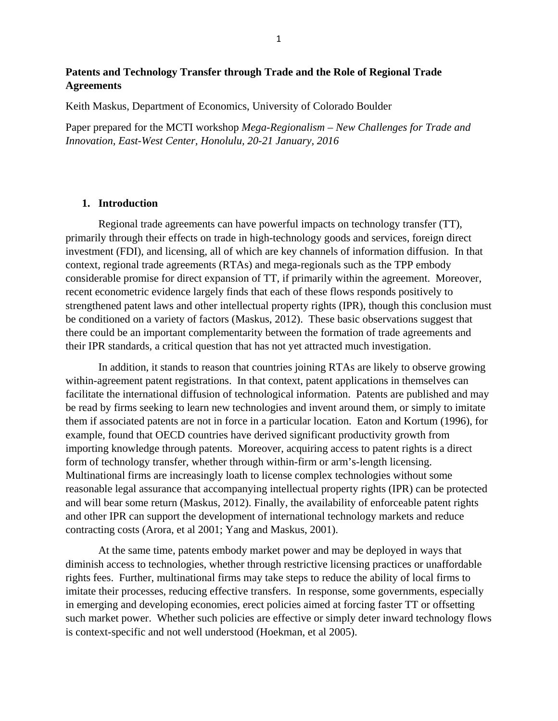### **Patents and Technology Transfer through Trade and the Role of Regional Trade Agreements**

Keith Maskus, Department of Economics, University of Colorado Boulder

Paper prepared for the MCTI workshop *Mega-Regionalism – New Challenges for Trade and Innovation, East-West Center, Honolulu, 20-21 January, 2016*

#### **1. Introduction**

Regional trade agreements can have powerful impacts on technology transfer (TT), primarily through their effects on trade in high-technology goods and services, foreign direct investment (FDI), and licensing, all of which are key channels of information diffusion. In that context, regional trade agreements (RTAs) and mega-regionals such as the TPP embody considerable promise for direct expansion of TT, if primarily within the agreement. Moreover, recent econometric evidence largely finds that each of these flows responds positively to strengthened patent laws and other intellectual property rights (IPR), though this conclusion must be conditioned on a variety of factors (Maskus, 2012). These basic observations suggest that there could be an important complementarity between the formation of trade agreements and their IPR standards, a critical question that has not yet attracted much investigation.

In addition, it stands to reason that countries joining RTAs are likely to observe growing within-agreement patent registrations. In that context, patent applications in themselves can facilitate the international diffusion of technological information. Patents are published and may be read by firms seeking to learn new technologies and invent around them, or simply to imitate them if associated patents are not in force in a particular location. Eaton and Kortum (1996), for example, found that OECD countries have derived significant productivity growth from importing knowledge through patents. Moreover, acquiring access to patent rights is a direct form of technology transfer, whether through within-firm or arm's-length licensing. Multinational firms are increasingly loath to license complex technologies without some reasonable legal assurance that accompanying intellectual property rights (IPR) can be protected and will bear some return (Maskus, 2012). Finally, the availability of enforceable patent rights and other IPR can support the development of international technology markets and reduce contracting costs (Arora, et al 2001; Yang and Maskus, 2001).

At the same time, patents embody market power and may be deployed in ways that diminish access to technologies, whether through restrictive licensing practices or unaffordable rights fees. Further, multinational firms may take steps to reduce the ability of local firms to imitate their processes, reducing effective transfers. In response, some governments, especially in emerging and developing economies, erect policies aimed at forcing faster TT or offsetting such market power. Whether such policies are effective or simply deter inward technology flows is context-specific and not well understood (Hoekman, et al 2005).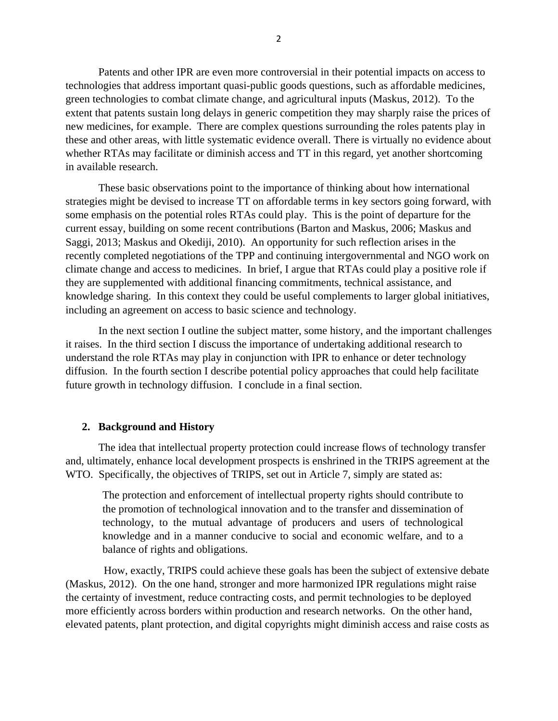Patents and other IPR are even more controversial in their potential impacts on access to technologies that address important quasi-public goods questions, such as affordable medicines, green technologies to combat climate change, and agricultural inputs (Maskus, 2012). To the extent that patents sustain long delays in generic competition they may sharply raise the prices of new medicines, for example. There are complex questions surrounding the roles patents play in these and other areas, with little systematic evidence overall. There is virtually no evidence about whether RTAs may facilitate or diminish access and TT in this regard, yet another shortcoming in available research.

These basic observations point to the importance of thinking about how international strategies might be devised to increase TT on affordable terms in key sectors going forward, with some emphasis on the potential roles RTAs could play. This is the point of departure for the current essay, building on some recent contributions (Barton and Maskus, 2006; Maskus and Saggi, 2013; Maskus and Okediji, 2010). An opportunity for such reflection arises in the recently completed negotiations of the TPP and continuing intergovernmental and NGO work on climate change and access to medicines. In brief, I argue that RTAs could play a positive role if they are supplemented with additional financing commitments, technical assistance, and knowledge sharing. In this context they could be useful complements to larger global initiatives, including an agreement on access to basic science and technology.

In the next section I outline the subject matter, some history, and the important challenges it raises. In the third section I discuss the importance of undertaking additional research to understand the role RTAs may play in conjunction with IPR to enhance or deter technology diffusion. In the fourth section I describe potential policy approaches that could help facilitate future growth in technology diffusion. I conclude in a final section.

#### **2. Background and History**

The idea that intellectual property protection could increase flows of technology transfer and, ultimately, enhance local development prospects is enshrined in the TRIPS agreement at the WTO. Specifically, the objectives of TRIPS, set out in Article 7, simply are stated as:

The protection and enforcement of intellectual property rights should contribute to the promotion of technological innovation and to the transfer and dissemination of technology, to the mutual advantage of producers and users of technological knowledge and in a manner conducive to social and economic welfare, and to a balance of rights and obligations.

 How, exactly, TRIPS could achieve these goals has been the subject of extensive debate (Maskus, 2012). On the one hand, stronger and more harmonized IPR regulations might raise the certainty of investment, reduce contracting costs, and permit technologies to be deployed more efficiently across borders within production and research networks. On the other hand, elevated patents, plant protection, and digital copyrights might diminish access and raise costs as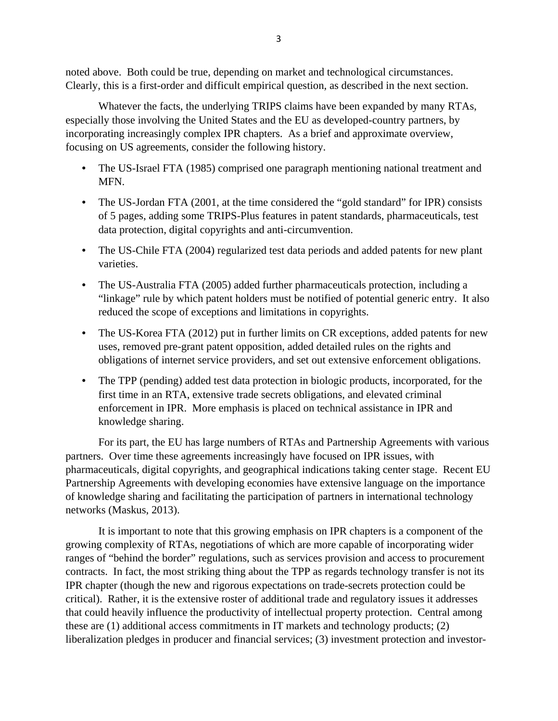noted above. Both could be true, depending on market and technological circumstances. Clearly, this is a first-order and difficult empirical question, as described in the next section.

Whatever the facts, the underlying TRIPS claims have been expanded by many RTAs, especially those involving the United States and the EU as developed-country partners, by incorporating increasingly complex IPR chapters. As a brief and approximate overview, focusing on US agreements, consider the following history.

- The US-Israel FTA (1985) comprised one paragraph mentioning national treatment and MFN.
- The US-Jordan FTA (2001, at the time considered the "gold standard" for IPR) consists of 5 pages, adding some TRIPS-Plus features in patent standards, pharmaceuticals, test data protection, digital copyrights and anti-circumvention.
- The US-Chile FTA (2004) regularized test data periods and added patents for new plant varieties.
- The US-Australia FTA (2005) added further pharmaceuticals protection, including a "linkage" rule by which patent holders must be notified of potential generic entry. It also reduced the scope of exceptions and limitations in copyrights.
- The US-Korea FTA (2012) put in further limits on CR exceptions, added patents for new uses, removed pre-grant patent opposition, added detailed rules on the rights and obligations of internet service providers, and set out extensive enforcement obligations.
- The TPP (pending) added test data protection in biologic products, incorporated, for the first time in an RTA, extensive trade secrets obligations, and elevated criminal enforcement in IPR. More emphasis is placed on technical assistance in IPR and knowledge sharing.

For its part, the EU has large numbers of RTAs and Partnership Agreements with various partners. Over time these agreements increasingly have focused on IPR issues, with pharmaceuticals, digital copyrights, and geographical indications taking center stage. Recent EU Partnership Agreements with developing economies have extensive language on the importance of knowledge sharing and facilitating the participation of partners in international technology networks (Maskus, 2013).

It is important to note that this growing emphasis on IPR chapters is a component of the growing complexity of RTAs, negotiations of which are more capable of incorporating wider ranges of "behind the border" regulations, such as services provision and access to procurement contracts. In fact, the most striking thing about the TPP as regards technology transfer is not its IPR chapter (though the new and rigorous expectations on trade-secrets protection could be critical). Rather, it is the extensive roster of additional trade and regulatory issues it addresses that could heavily influence the productivity of intellectual property protection. Central among these are (1) additional access commitments in IT markets and technology products; (2) liberalization pledges in producer and financial services; (3) investment protection and investor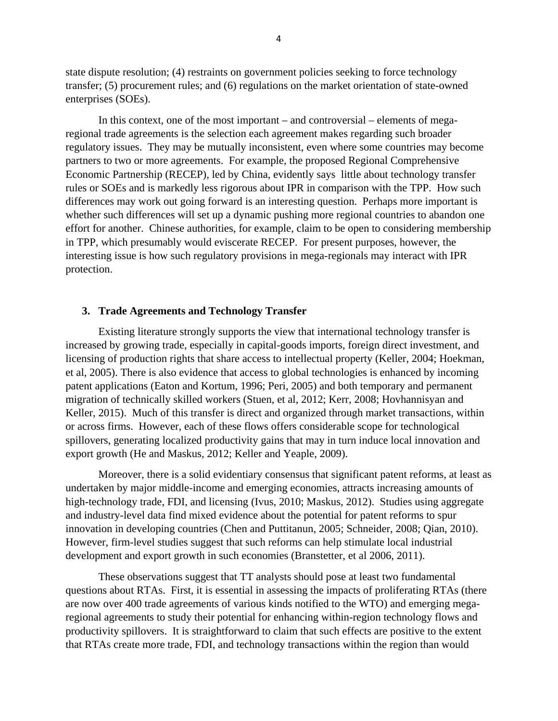state dispute resolution; (4) restraints on government policies seeking to force technology transfer; (5) procurement rules; and (6) regulations on the market orientation of state-owned enterprises (SOEs).

In this context, one of the most important – and controversial – elements of megaregional trade agreements is the selection each agreement makes regarding such broader regulatory issues. They may be mutually inconsistent, even where some countries may become partners to two or more agreements. For example, the proposed Regional Comprehensive Economic Partnership (RECEP), led by China, evidently says little about technology transfer rules or SOEs and is markedly less rigorous about IPR in comparison with the TPP. How such differences may work out going forward is an interesting question. Perhaps more important is whether such differences will set up a dynamic pushing more regional countries to abandon one effort for another. Chinese authorities, for example, claim to be open to considering membership in TPP, which presumably would eviscerate RECEP. For present purposes, however, the interesting issue is how such regulatory provisions in mega-regionals may interact with IPR protection.

#### **3. Trade Agreements and Technology Transfer**

Existing literature strongly supports the view that international technology transfer is increased by growing trade, especially in capital-goods imports, foreign direct investment, and licensing of production rights that share access to intellectual property (Keller, 2004; Hoekman, et al, 2005). There is also evidence that access to global technologies is enhanced by incoming patent applications (Eaton and Kortum, 1996; Peri, 2005) and both temporary and permanent migration of technically skilled workers (Stuen, et al, 2012; Kerr, 2008; Hovhannisyan and Keller, 2015). Much of this transfer is direct and organized through market transactions, within or across firms. However, each of these flows offers considerable scope for technological spillovers, generating localized productivity gains that may in turn induce local innovation and export growth (He and Maskus, 2012; Keller and Yeaple, 2009).

Moreover, there is a solid evidentiary consensus that significant patent reforms, at least as undertaken by major middle-income and emerging economies, attracts increasing amounts of high-technology trade, FDI, and licensing (Ivus, 2010; Maskus, 2012). Studies using aggregate and industry-level data find mixed evidence about the potential for patent reforms to spur innovation in developing countries (Chen and Puttitanun, 2005; Schneider, 2008; Qian, 2010). However, firm-level studies suggest that such reforms can help stimulate local industrial development and export growth in such economies (Branstetter, et al 2006, 2011).

These observations suggest that TT analysts should pose at least two fundamental questions about RTAs. First, it is essential in assessing the impacts of proliferating RTAs (there are now over 400 trade agreements of various kinds notified to the WTO) and emerging megaregional agreements to study their potential for enhancing within-region technology flows and productivity spillovers. It is straightforward to claim that such effects are positive to the extent that RTAs create more trade, FDI, and technology transactions within the region than would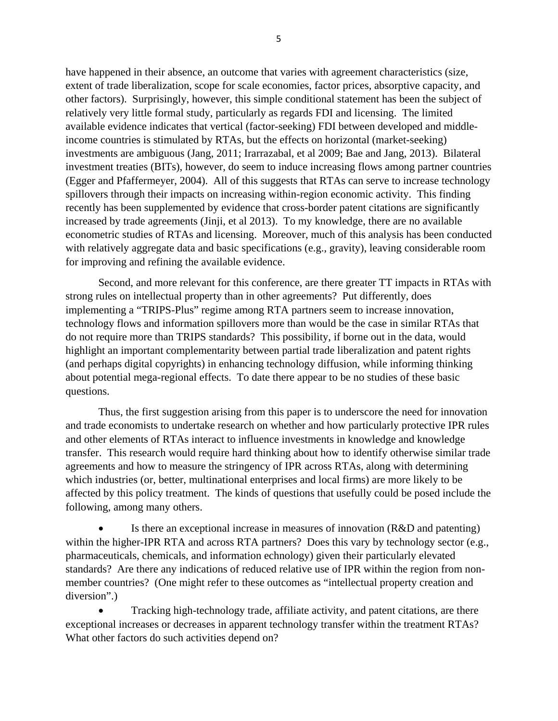have happened in their absence, an outcome that varies with agreement characteristics (size, extent of trade liberalization, scope for scale economies, factor prices, absorptive capacity, and other factors). Surprisingly, however, this simple conditional statement has been the subject of relatively very little formal study, particularly as regards FDI and licensing. The limited available evidence indicates that vertical (factor-seeking) FDI between developed and middleincome countries is stimulated by RTAs, but the effects on horizontal (market-seeking) investments are ambiguous (Jang, 2011; Irarrazabal, et al 2009; Bae and Jang, 2013). Bilateral investment treaties (BITs), however, do seem to induce increasing flows among partner countries (Egger and Pfaffermeyer, 2004). All of this suggests that RTAs can serve to increase technology spillovers through their impacts on increasing within-region economic activity. This finding recently has been supplemented by evidence that cross-border patent citations are significantly increased by trade agreements (Jinji, et al 2013). To my knowledge, there are no available econometric studies of RTAs and licensing. Moreover, much of this analysis has been conducted with relatively aggregate data and basic specifications (e.g., gravity), leaving considerable room for improving and refining the available evidence.

Second, and more relevant for this conference, are there greater TT impacts in RTAs with strong rules on intellectual property than in other agreements? Put differently, does implementing a "TRIPS-Plus" regime among RTA partners seem to increase innovation, technology flows and information spillovers more than would be the case in similar RTAs that do not require more than TRIPS standards? This possibility, if borne out in the data, would highlight an important complementarity between partial trade liberalization and patent rights (and perhaps digital copyrights) in enhancing technology diffusion, while informing thinking about potential mega-regional effects. To date there appear to be no studies of these basic questions.

Thus, the first suggestion arising from this paper is to underscore the need for innovation and trade economists to undertake research on whether and how particularly protective IPR rules and other elements of RTAs interact to influence investments in knowledge and knowledge transfer. This research would require hard thinking about how to identify otherwise similar trade agreements and how to measure the stringency of IPR across RTAs, along with determining which industries (or, better, multinational enterprises and local firms) are more likely to be affected by this policy treatment. The kinds of questions that usefully could be posed include the following, among many others.

 Is there an exceptional increase in measures of innovation (R&D and patenting) within the higher-IPR RTA and across RTA partners? Does this vary by technology sector (e.g., pharmaceuticals, chemicals, and information echnology) given their particularly elevated standards? Are there any indications of reduced relative use of IPR within the region from nonmember countries? (One might refer to these outcomes as "intellectual property creation and diversion".)

 Tracking high-technology trade, affiliate activity, and patent citations, are there exceptional increases or decreases in apparent technology transfer within the treatment RTAs? What other factors do such activities depend on?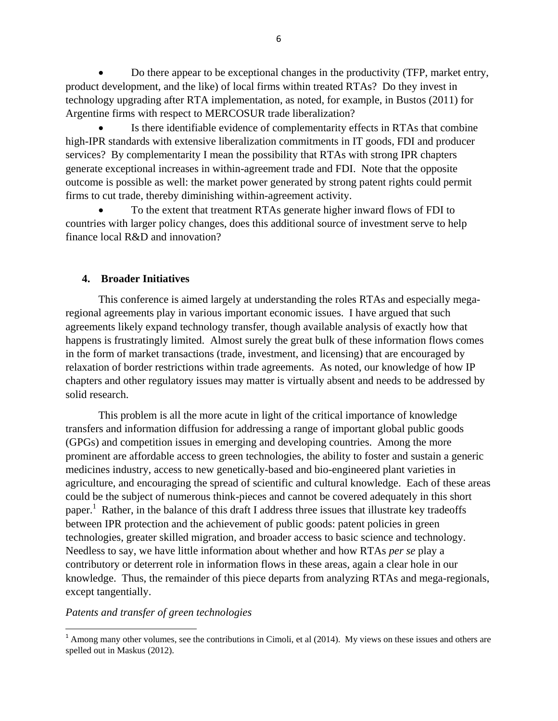Do there appear to be exceptional changes in the productivity (TFP, market entry, product development, and the like) of local firms within treated RTAs? Do they invest in technology upgrading after RTA implementation, as noted, for example, in Bustos (2011) for Argentine firms with respect to MERCOSUR trade liberalization?

 Is there identifiable evidence of complementarity effects in RTAs that combine high-IPR standards with extensive liberalization commitments in IT goods, FDI and producer services? By complementarity I mean the possibility that RTAs with strong IPR chapters generate exceptional increases in within-agreement trade and FDI. Note that the opposite outcome is possible as well: the market power generated by strong patent rights could permit firms to cut trade, thereby diminishing within-agreement activity.

 To the extent that treatment RTAs generate higher inward flows of FDI to countries with larger policy changes, does this additional source of investment serve to help finance local R&D and innovation?

### **4. Broader Initiatives**

This conference is aimed largely at understanding the roles RTAs and especially megaregional agreements play in various important economic issues. I have argued that such agreements likely expand technology transfer, though available analysis of exactly how that happens is frustratingly limited. Almost surely the great bulk of these information flows comes in the form of market transactions (trade, investment, and licensing) that are encouraged by relaxation of border restrictions within trade agreements. As noted, our knowledge of how IP chapters and other regulatory issues may matter is virtually absent and needs to be addressed by solid research.

This problem is all the more acute in light of the critical importance of knowledge transfers and information diffusion for addressing a range of important global public goods (GPGs) and competition issues in emerging and developing countries. Among the more prominent are affordable access to green technologies, the ability to foster and sustain a generic medicines industry, access to new genetically-based and bio-engineered plant varieties in agriculture, and encouraging the spread of scientific and cultural knowledge. Each of these areas could be the subject of numerous think-pieces and cannot be covered adequately in this short paper.<sup>1</sup> Rather, in the balance of this draft I address three issues that illustrate key tradeoffs between IPR protection and the achievement of public goods: patent policies in green technologies, greater skilled migration, and broader access to basic science and technology. Needless to say, we have little information about whether and how RTAs *per se* play a contributory or deterrent role in information flows in these areas, again a clear hole in our knowledge. Thus, the remainder of this piece departs from analyzing RTAs and mega-regionals, except tangentially.

### *Patents and transfer of green technologies*

 $<sup>1</sup>$  Among many other volumes, see the contributions in Cimoli, et al (2014). My views on these issues and others are</sup> spelled out in Maskus (2012).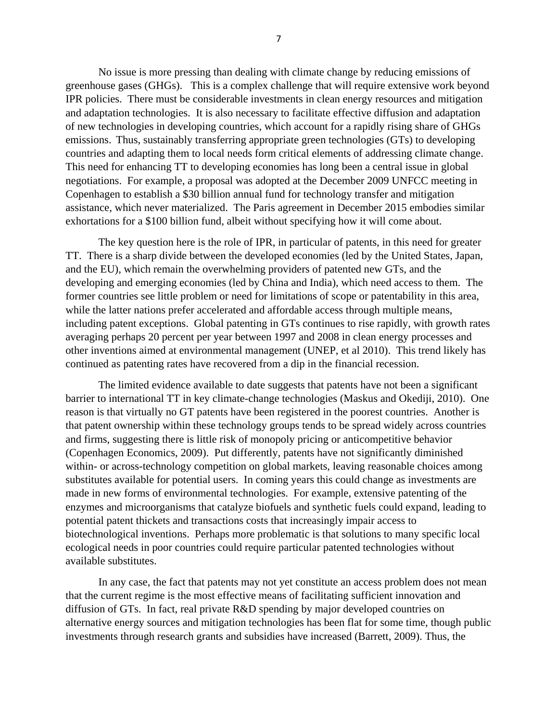No issue is more pressing than dealing with climate change by reducing emissions of greenhouse gases (GHGs). This is a complex challenge that will require extensive work beyond IPR policies. There must be considerable investments in clean energy resources and mitigation and adaptation technologies. It is also necessary to facilitate effective diffusion and adaptation of new technologies in developing countries, which account for a rapidly rising share of GHGs emissions. Thus, sustainably transferring appropriate green technologies (GTs) to developing countries and adapting them to local needs form critical elements of addressing climate change. This need for enhancing TT to developing economies has long been a central issue in global negotiations. For example, a proposal was adopted at the December 2009 UNFCC meeting in Copenhagen to establish a \$30 billion annual fund for technology transfer and mitigation assistance, which never materialized. The Paris agreement in December 2015 embodies similar exhortations for a \$100 billion fund, albeit without specifying how it will come about.

The key question here is the role of IPR, in particular of patents, in this need for greater TT. There is a sharp divide between the developed economies (led by the United States, Japan, and the EU), which remain the overwhelming providers of patented new GTs, and the developing and emerging economies (led by China and India), which need access to them. The former countries see little problem or need for limitations of scope or patentability in this area, while the latter nations prefer accelerated and affordable access through multiple means, including patent exceptions. Global patenting in GTs continues to rise rapidly, with growth rates averaging perhaps 20 percent per year between 1997 and 2008 in clean energy processes and other inventions aimed at environmental management (UNEP, et al 2010). This trend likely has continued as patenting rates have recovered from a dip in the financial recession.

The limited evidence available to date suggests that patents have not been a significant barrier to international TT in key climate-change technologies (Maskus and Okediji, 2010). One reason is that virtually no GT patents have been registered in the poorest countries. Another is that patent ownership within these technology groups tends to be spread widely across countries and firms, suggesting there is little risk of monopoly pricing or anticompetitive behavior (Copenhagen Economics, 2009). Put differently, patents have not significantly diminished within- or across-technology competition on global markets, leaving reasonable choices among substitutes available for potential users. In coming years this could change as investments are made in new forms of environmental technologies. For example, extensive patenting of the enzymes and microorganisms that catalyze biofuels and synthetic fuels could expand, leading to potential patent thickets and transactions costs that increasingly impair access to biotechnological inventions. Perhaps more problematic is that solutions to many specific local ecological needs in poor countries could require particular patented technologies without available substitutes.

In any case, the fact that patents may not yet constitute an access problem does not mean that the current regime is the most effective means of facilitating sufficient innovation and diffusion of GTs. In fact, real private R&D spending by major developed countries on alternative energy sources and mitigation technologies has been flat for some time, though public investments through research grants and subsidies have increased (Barrett, 2009). Thus, the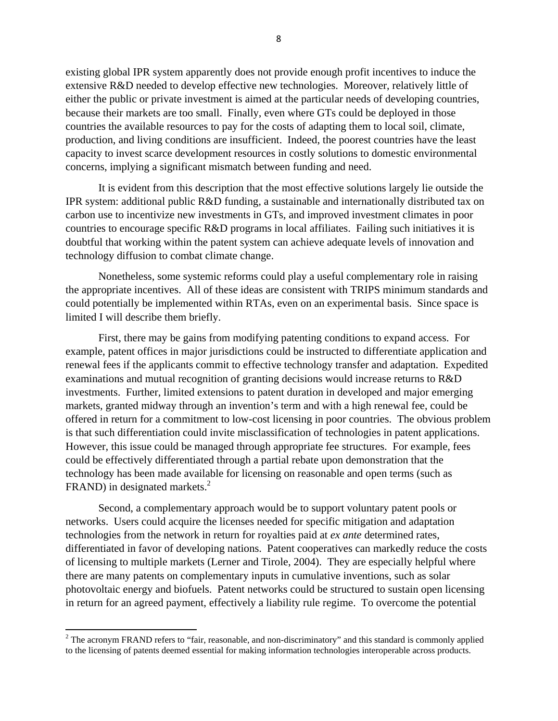existing global IPR system apparently does not provide enough profit incentives to induce the extensive R&D needed to develop effective new technologies. Moreover, relatively little of either the public or private investment is aimed at the particular needs of developing countries, because their markets are too small. Finally, even where GTs could be deployed in those countries the available resources to pay for the costs of adapting them to local soil, climate, production, and living conditions are insufficient. Indeed, the poorest countries have the least capacity to invest scarce development resources in costly solutions to domestic environmental concerns, implying a significant mismatch between funding and need.

It is evident from this description that the most effective solutions largely lie outside the IPR system: additional public R&D funding, a sustainable and internationally distributed tax on carbon use to incentivize new investments in GTs, and improved investment climates in poor countries to encourage specific R&D programs in local affiliates. Failing such initiatives it is doubtful that working within the patent system can achieve adequate levels of innovation and technology diffusion to combat climate change.

Nonetheless, some systemic reforms could play a useful complementary role in raising the appropriate incentives. All of these ideas are consistent with TRIPS minimum standards and could potentially be implemented within RTAs, even on an experimental basis. Since space is limited I will describe them briefly.

First, there may be gains from modifying patenting conditions to expand access. For example, patent offices in major jurisdictions could be instructed to differentiate application and renewal fees if the applicants commit to effective technology transfer and adaptation. Expedited examinations and mutual recognition of granting decisions would increase returns to R&D investments. Further, limited extensions to patent duration in developed and major emerging markets, granted midway through an invention's term and with a high renewal fee, could be offered in return for a commitment to low-cost licensing in poor countries. The obvious problem is that such differentiation could invite misclassification of technologies in patent applications. However, this issue could be managed through appropriate fee structures. For example, fees could be effectively differentiated through a partial rebate upon demonstration that the technology has been made available for licensing on reasonable and open terms (such as FRAND) in designated markets.<sup>2</sup>

Second, a complementary approach would be to support voluntary patent pools or networks. Users could acquire the licenses needed for specific mitigation and adaptation technologies from the network in return for royalties paid at *ex ante* determined rates, differentiated in favor of developing nations. Patent cooperatives can markedly reduce the costs of licensing to multiple markets (Lerner and Tirole, 2004). They are especially helpful where there are many patents on complementary inputs in cumulative inventions, such as solar photovoltaic energy and biofuels. Patent networks could be structured to sustain open licensing in return for an agreed payment, effectively a liability rule regime. To overcome the potential

 $2^2$  The acronym FRAND refers to "fair, reasonable, and non-discriminatory" and this standard is commonly applied to the licensing of patents deemed essential for making information technologies interoperable across products.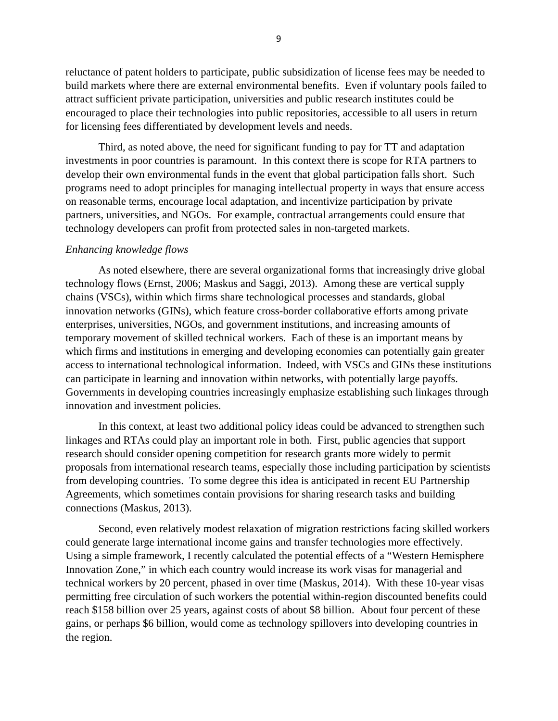reluctance of patent holders to participate, public subsidization of license fees may be needed to build markets where there are external environmental benefits. Even if voluntary pools failed to attract sufficient private participation, universities and public research institutes could be encouraged to place their technologies into public repositories, accessible to all users in return for licensing fees differentiated by development levels and needs.

Third, as noted above, the need for significant funding to pay for TT and adaptation investments in poor countries is paramount. In this context there is scope for RTA partners to develop their own environmental funds in the event that global participation falls short. Such programs need to adopt principles for managing intellectual property in ways that ensure access on reasonable terms, encourage local adaptation, and incentivize participation by private partners, universities, and NGOs. For example, contractual arrangements could ensure that technology developers can profit from protected sales in non-targeted markets.

#### *Enhancing knowledge flows*

 As noted elsewhere, there are several organizational forms that increasingly drive global technology flows (Ernst, 2006; Maskus and Saggi, 2013). Among these are vertical supply chains (VSCs), within which firms share technological processes and standards, global innovation networks (GINs), which feature cross-border collaborative efforts among private enterprises, universities, NGOs, and government institutions, and increasing amounts of temporary movement of skilled technical workers. Each of these is an important means by which firms and institutions in emerging and developing economies can potentially gain greater access to international technological information. Indeed, with VSCs and GINs these institutions can participate in learning and innovation within networks, with potentially large payoffs. Governments in developing countries increasingly emphasize establishing such linkages through innovation and investment policies.

 In this context, at least two additional policy ideas could be advanced to strengthen such linkages and RTAs could play an important role in both. First, public agencies that support research should consider opening competition for research grants more widely to permit proposals from international research teams, especially those including participation by scientists from developing countries. To some degree this idea is anticipated in recent EU Partnership Agreements, which sometimes contain provisions for sharing research tasks and building connections (Maskus, 2013).

 Second, even relatively modest relaxation of migration restrictions facing skilled workers could generate large international income gains and transfer technologies more effectively. Using a simple framework, I recently calculated the potential effects of a "Western Hemisphere Innovation Zone," in which each country would increase its work visas for managerial and technical workers by 20 percent, phased in over time (Maskus, 2014). With these 10-year visas permitting free circulation of such workers the potential within-region discounted benefits could reach \$158 billion over 25 years, against costs of about \$8 billion. About four percent of these gains, or perhaps \$6 billion, would come as technology spillovers into developing countries in the region.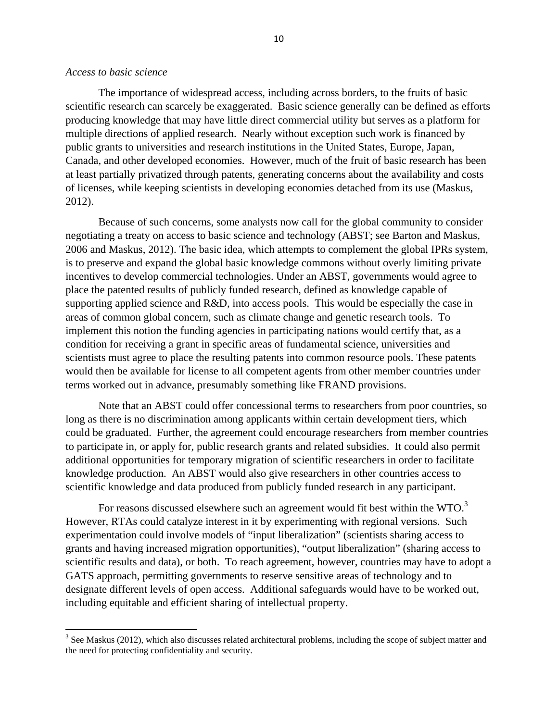The importance of widespread access, including across borders, to the fruits of basic scientific research can scarcely be exaggerated. Basic science generally can be defined as efforts producing knowledge that may have little direct commercial utility but serves as a platform for multiple directions of applied research. Nearly without exception such work is financed by public grants to universities and research institutions in the United States, Europe, Japan, Canada, and other developed economies. However, much of the fruit of basic research has been at least partially privatized through patents, generating concerns about the availability and costs of licenses, while keeping scientists in developing economies detached from its use (Maskus, 2012).

 Because of such concerns, some analysts now call for the global community to consider negotiating a treaty on access to basic science and technology (ABST; see Barton and Maskus, 2006 and Maskus, 2012). The basic idea, which attempts to complement the global IPRs system, is to preserve and expand the global basic knowledge commons without overly limiting private incentives to develop commercial technologies. Under an ABST, governments would agree to place the patented results of publicly funded research, defined as knowledge capable of supporting applied science and R&D, into access pools. This would be especially the case in areas of common global concern, such as climate change and genetic research tools. To implement this notion the funding agencies in participating nations would certify that, as a condition for receiving a grant in specific areas of fundamental science, universities and scientists must agree to place the resulting patents into common resource pools. These patents would then be available for license to all competent agents from other member countries under terms worked out in advance, presumably something like FRAND provisions.

Note that an ABST could offer concessional terms to researchers from poor countries, so long as there is no discrimination among applicants within certain development tiers, which could be graduated. Further, the agreement could encourage researchers from member countries to participate in, or apply for, public research grants and related subsidies. It could also permit additional opportunities for temporary migration of scientific researchers in order to facilitate knowledge production. An ABST would also give researchers in other countries access to scientific knowledge and data produced from publicly funded research in any participant.

For reasons discussed elsewhere such an agreement would fit best within the WTO. $3$ However, RTAs could catalyze interest in it by experimenting with regional versions. Such experimentation could involve models of "input liberalization" (scientists sharing access to grants and having increased migration opportunities), "output liberalization" (sharing access to scientific results and data), or both. To reach agreement, however, countries may have to adopt a GATS approach, permitting governments to reserve sensitive areas of technology and to designate different levels of open access. Additional safeguards would have to be worked out, including equitable and efficient sharing of intellectual property.

 $3$  See Maskus (2012), which also discusses related architectural problems, including the scope of subject matter and the need for protecting confidentiality and security.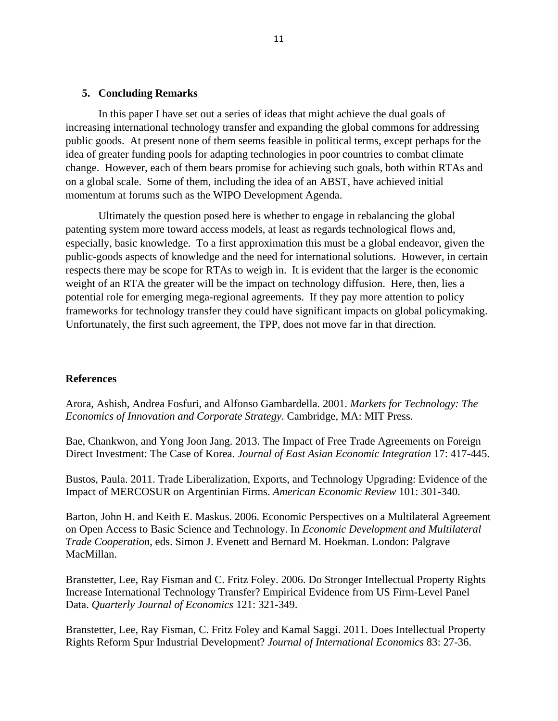#### **5. Concluding Remarks**

In this paper I have set out a series of ideas that might achieve the dual goals of increasing international technology transfer and expanding the global commons for addressing public goods. At present none of them seems feasible in political terms, except perhaps for the idea of greater funding pools for adapting technologies in poor countries to combat climate change. However, each of them bears promise for achieving such goals, both within RTAs and on a global scale. Some of them, including the idea of an ABST, have achieved initial momentum at forums such as the WIPO Development Agenda.

Ultimately the question posed here is whether to engage in rebalancing the global patenting system more toward access models, at least as regards technological flows and, especially, basic knowledge. To a first approximation this must be a global endeavor, given the public-goods aspects of knowledge and the need for international solutions. However, in certain respects there may be scope for RTAs to weigh in. It is evident that the larger is the economic weight of an RTA the greater will be the impact on technology diffusion. Here, then, lies a potential role for emerging mega-regional agreements. If they pay more attention to policy frameworks for technology transfer they could have significant impacts on global policymaking. Unfortunately, the first such agreement, the TPP, does not move far in that direction.

#### **References**

Arora, Ashish, Andrea Fosfuri, and Alfonso Gambardella. 2001. *Markets for Technology: The Economics of Innovation and Corporate Strategy*. Cambridge, MA: MIT Press.

Bae, Chankwon, and Yong Joon Jang. 2013. The Impact of Free Trade Agreements on Foreign Direct Investment: The Case of Korea. *Journal of East Asian Economic Integration* 17: 417-445.

Bustos, Paula. 2011. Trade Liberalization, Exports, and Technology Upgrading: Evidence of the Impact of MERCOSUR on Argentinian Firms. *American Economic Review* 101: 301-340.

Barton, John H. and Keith E. Maskus. 2006. Economic Perspectives on a Multilateral Agreement on Open Access to Basic Science and Technology. In *Economic Development and Multilateral Trade Cooperation*, eds. Simon J. Evenett and Bernard M. Hoekman. London: Palgrave MacMillan.

Branstetter, Lee, Ray Fisman and C. Fritz Foley. 2006. Do Stronger Intellectual Property Rights Increase International Technology Transfer? Empirical Evidence from US Firm-Level Panel Data. *Quarterly Journal of Economics* 121: 321-349.

Branstetter, Lee, Ray Fisman, C. Fritz Foley and Kamal Saggi. 2011. Does Intellectual Property Rights Reform Spur Industrial Development? *Journal of International Economics* 83: 27-36.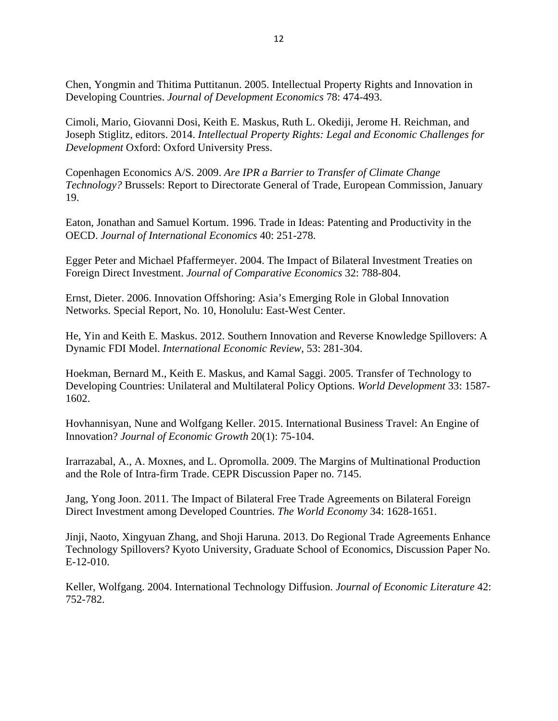Chen, Yongmin and Thitima Puttitanun. 2005. Intellectual Property Rights and Innovation in Developing Countries. *Journal of Development Economics* 78: 474-493.

Cimoli, Mario, Giovanni Dosi, Keith E. Maskus, Ruth L. Okediji, Jerome H. Reichman, and Joseph Stiglitz, editors. 2014. *Intellectual Property Rights: Legal and Economic Challenges for Development* Oxford: Oxford University Press.

Copenhagen Economics A/S. 2009. *Are IPR a Barrier to Transfer of Climate Change Technology?* Brussels: Report to Directorate General of Trade, European Commission, January 19.

Eaton, Jonathan and Samuel Kortum. 1996. Trade in Ideas: Patenting and Productivity in the OECD. *Journal of International Economics* 40: 251-278.

Egger Peter and Michael Pfaffermeyer. 2004. The Impact of Bilateral Investment Treaties on Foreign Direct Investment. *Journal of Comparative Economics* 32: 788-804.

Ernst, Dieter. 2006. Innovation Offshoring: Asia's Emerging Role in Global Innovation Networks. Special Report, No. 10, Honolulu: East-West Center.

He, Yin and Keith E. Maskus. 2012. Southern Innovation and Reverse Knowledge Spillovers: A Dynamic FDI Model. *International Economic Review*, 53: 281-304.

Hoekman, Bernard M., Keith E. Maskus, and Kamal Saggi. 2005. Transfer of Technology to Developing Countries: Unilateral and Multilateral Policy Options. *World Development* 33: 1587- 1602.

Hovhannisyan, Nune and Wolfgang Keller. 2015. International Business Travel: An Engine of Innovation? *Journal of Economic Growth* 20(1): 75-104.

Irarrazabal, A., A. Moxnes, and L. Opromolla. 2009. The Margins of Multinational Production and the Role of Intra-firm Trade. CEPR Discussion Paper no. 7145.

Jang, Yong Joon. 2011. The Impact of Bilateral Free Trade Agreements on Bilateral Foreign Direct Investment among Developed Countries. *The World Economy* 34: 1628-1651.

Jinji, Naoto, Xingyuan Zhang, and Shoji Haruna. 2013. Do Regional Trade Agreements Enhance Technology Spillovers? Kyoto University, Graduate School of Economics, Discussion Paper No. E-12-010.

Keller, Wolfgang. 2004. International Technology Diffusion. *Journal of Economic Literature* 42: 752-782.